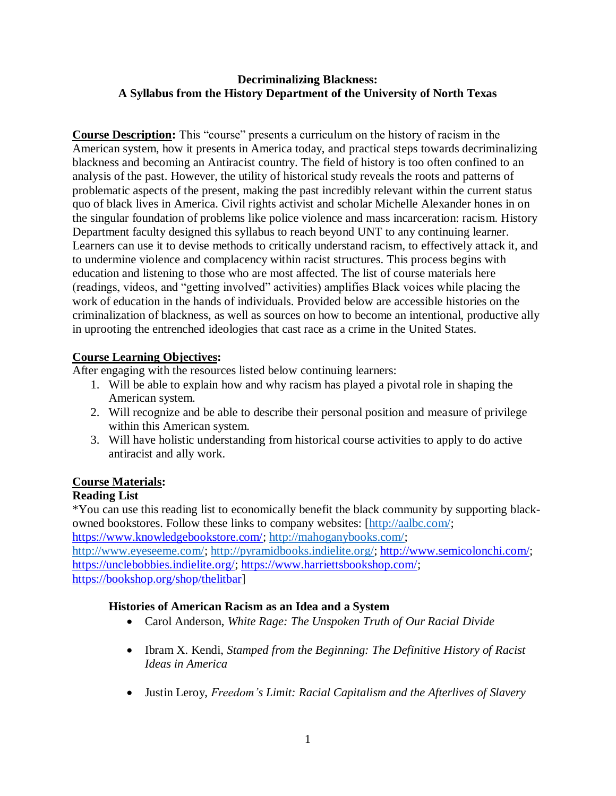#### **Decriminalizing Blackness: A Syllabus from the History Department of the University of North Texas**

**Course Description:** This "course" presents a curriculum on the history of racism in the American system, how it presents in America today, and practical steps towards decriminalizing blackness and becoming an Antiracist country. The field of history is too often confined to an analysis of the past. However, the utility of historical study reveals the roots and patterns of problematic aspects of the present, making the past incredibly relevant within the current status quo of black lives in America. Civil rights activist and scholar Michelle Alexander hones in on the singular foundation of problems like police violence and mass incarceration: racism. History Department faculty designed this syllabus to reach beyond UNT to any continuing learner. Learners can use it to devise methods to critically understand racism, to effectively attack it, and to undermine violence and complacency within racist structures. This process begins with education and listening to those who are most affected. The list of course materials here (readings, videos, and "getting involved" activities) amplifies Black voices while placing the work of education in the hands of individuals. Provided below are accessible histories on the criminalization of blackness, as well as sources on how to become an intentional, productive ally in uprooting the entrenched ideologies that cast race as a crime in the United States.

#### **Course Learning Objectives:**

After engaging with the resources listed below continuing learners:

- 1. Will be able to explain how and why racism has played a pivotal role in shaping the American system.
- 2. Will recognize and be able to describe their personal position and measure of privilege within this American system.
- 3. Will have holistic understanding from historical course activities to apply to do active antiracist and ally work.

## **Course Materials:**

## **Reading List**

\*You can use this reading list to economically benefit the black community by supporting blackowned bookstores. Follow these links to company websites: [\[http://aalbc.com/;](http://aalbc.com/) [https://www.knowledgebookstore.com/;](https://www.knowledgebookstore.com/) [http://mahoganybooks.com/;](http://mahoganybooks.com/) [http://www.eyeseeme.com/;](http://www.eyeseeme.com/) [http://pyramidbooks.indielite.org/;](http://pyramidbooks.indielite.org/) [http://www.semicolonchi.com/;](http://www.semicolonchi.com/) [https://unclebobbies.indielite.org/;](https://unclebobbies.indielite.org/) [https://www.harriettsbookshop.com/;](https://www.harriettsbookshop.com/) [https://bookshop.org/shop/thelitbar\]](https://bookshop.org/shop/thelitbar)

## **Histories of American Racism as an Idea and a System**

- Carol Anderson, *White Rage: The Unspoken Truth of Our Racial Divide*
- Ibram X. Kendi, *Stamped from the Beginning: The Definitive History of Racist Ideas in America*
- Justin Leroy, *Freedom's Limit: Racial Capitalism and the Afterlives of Slavery*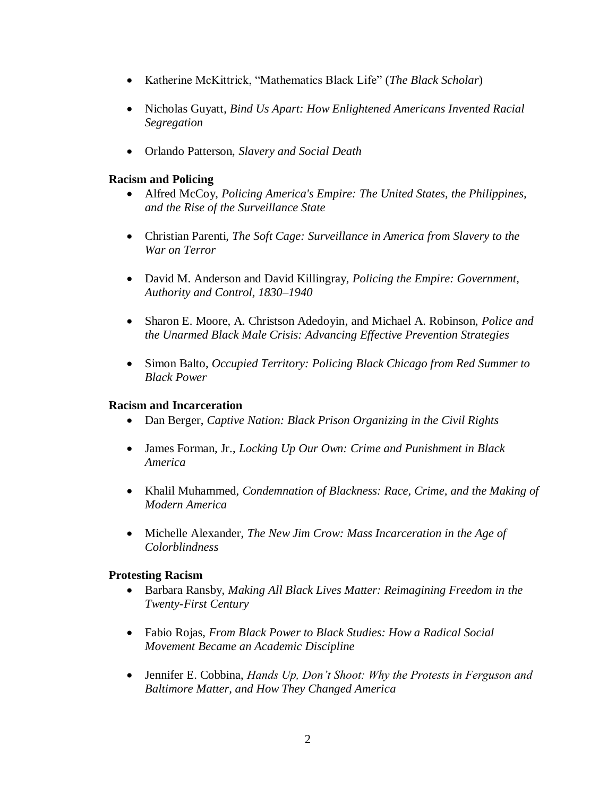- Katherine McKittrick, "Mathematics Black Life" (*The Black Scholar*)
- Nicholas Guyatt, *Bind Us Apart: How Enlightened Americans Invented Racial Segregation*
- Orlando Patterson, *Slavery and Social Death*

## **Racism and Policing**

- Alfred McCoy, *Policing America's Empire: The United States, the Philippines, and the Rise of the Surveillance State*
- Christian Parenti, *The Soft Cage: Surveillance in America from Slavery to the War on Terror*
- David M. Anderson and David Killingray, *Policing the Empire: Government, Authority and Control, 1830–1940*
- Sharon E. Moore, A. Christson Adedoyin, and Michael A. Robinson, *Police and the Unarmed Black Male Crisis: Advancing Effective Prevention Strategies*
- Simon Balto, *Occupied Territory: Policing Black Chicago from Red Summer to Black Power*

## **Racism and Incarceration**

- Dan Berger, *Captive Nation: Black Prison Organizing in the Civil Rights*
- James Forman, Jr., *Locking Up Our Own: Crime and Punishment in Black America*
- Khalil Muhammed, *Condemnation of Blackness: Race, Crime, and the Making of Modern America*
- Michelle Alexander, *The New Jim Crow: Mass Incarceration in the Age of Colorblindness*

## **Protesting Racism**

- Barbara Ransby, *Making All Black Lives Matter: Reimagining Freedom in the Twenty-First Century*
- Fabio Rojas, *From Black Power to Black Studies: How a Radical Social Movement Became an Academic Discipline*
- Jennifer E. Cobbina, *Hands Up, Don't Shoot: Why the Protests in Ferguson and Baltimore Matter, and How They Changed America*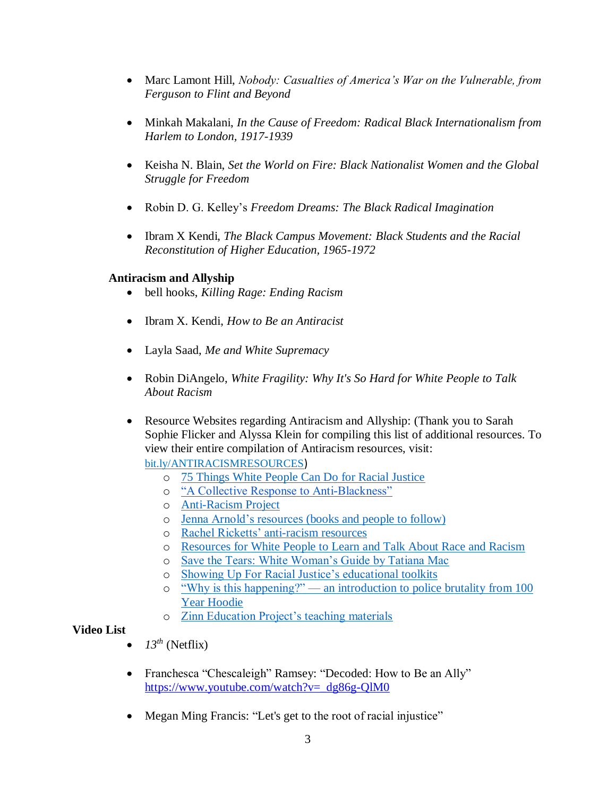- Marc Lamont Hill, *Nobody: Casualties of America's War on the Vulnerable, from Ferguson to Flint and Beyond*
- Minkah Makalani, *In the Cause of Freedom: Radical Black Internationalism from Harlem to London, 1917-1939*
- Keisha N. Blain, *Set the World on Fire: Black Nationalist Women and the Global Struggle for Freedom*
- Robin D. G. Kelley's *Freedom Dreams: The Black Radical Imagination*
- Ibram X Kendi, *The Black Campus Movement: Black Students and the Racial Reconstitution of Higher Education, 1965-1972*

# **Antiracism and Allyship**

- bell hooks, *Killing Rage: Ending Racism*
- Ibram X. Kendi, *How to Be an Antiracist*
- Layla Saad, *Me and White Supremacy*
- Robin DiAngelo, *White Fragility: Why It's So Hard for White People to Talk About Racism*
- Resource Websites regarding Antiracism and Allyship: (Thank you to Sarah Sophie Flicker and Alyssa Klein for compiling this list of additional resources. To view their entire compilation of Antiracism resources, visit:

[bit.ly/ANTIRACISMRESOURCES](https://nam04.safelinks.protection.outlook.com/?url=http%3A%2F%2Fbit.ly%2FANTIRACISMRESOURCES&data=02%7C01%7CKerry.Goldmann%40unt.edu%7Cf93ee43e4e0542eec50208d8064fa926%7C70de199207c6480fa318a1afcba03983%7C0%7C0%7C637266286493267024&sdata=L%2Fqem7fFSrpwZAZ%2FXUxrjygPGo31LbMP7OGKZnrIVk0%3D&reserved=0))

- o [75 Things White People Can Do for Racial Justice](https://medium.com/equality-includes-you/what-white-people-can-do-for-racial-justice-f2d18b0e0234)
- o ["A Collective Response to Anti-Blackness"](https://docs.google.com/document/d/1r1Rp3Tn8sPlfbn_bO3vQXOVRnDpaDvB_ctaBKXvbpNU/mobilebasic?pli=1&viewopt=127)
- o [Anti-Racism Project](https://www.antiracismproject.org/resources)
- o [Jenna Arnold's resources \(books and people to follow\)](https://www.jennaarnold.com/resources)
- o [Rachel Ricketts' anti-racism resources](https://www.rachelricketts.com/antiracism-resources)
- o [Resources for White People to Learn](https://blog.fracturedatlas.org/resources-for-white-people-to-learn-and-talk-about-race-and-racism-5b207fff4fc7) and Talk About Race and Racism
- o [Save the Tears: White Woman's Guide by Tatiana Mac](https://tatianamac.com/posts/save-the-tears/)
- o [Showing Up For Racial Justice's educational toolkits](https://www.showingupforracialjustice.org/resources.html)
- o "Why is this happening?" [an introduction to police brutality from 100](https://www.100yearhoodie.com/why)  [Year Hoodie](https://www.100yearhoodie.com/why)
- o [Zinn Education Project's teaching materials](https://www.zinnedproject.org/materials/page/2/cond%5B0%5D=levels_str:Grades+Pre-K-2&s=)

## **Video List**

- *13th* (Netflix)
- Franchesca "Chescaleigh" Ramsey: "Decoded: How to Be an Ally" [https://www.youtube.com/watch?v=\\_dg86g-QlM0](https://www.youtube.com/watch?v=_dg86g-QlM0)
- Megan Ming Francis: "Let's get to the root of racial injustice"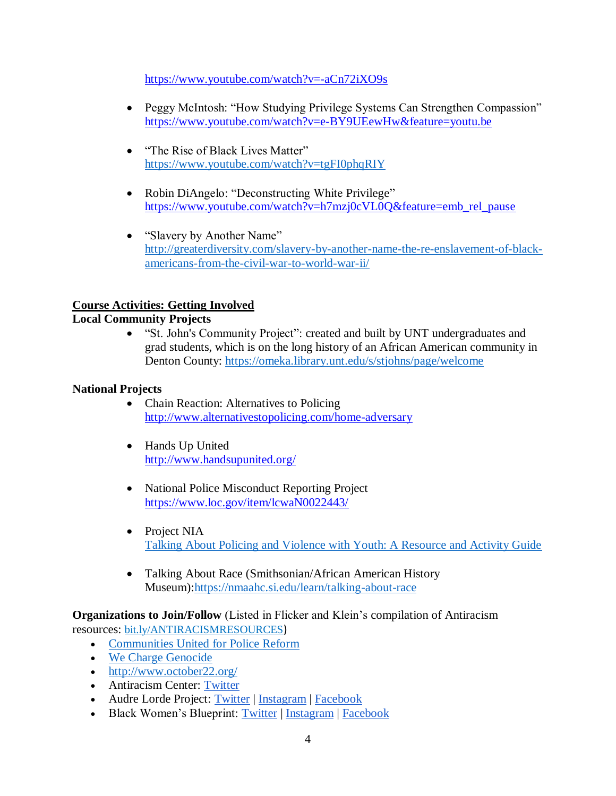<https://www.youtube.com/watch?v=-aCn72iXO9s>

- Peggy McIntosh: "How Studying Privilege Systems Can Strengthen Compassion" <https://www.youtube.com/watch?v=e-BY9UEewHw&feature=youtu.be>
- "The Rise of Black Lives Matter" <https://www.youtube.com/watch?v=tgFI0phqRIY>
- Robin DiAngelo: "Deconstructing White Privilege" [https://www.youtube.com/watch?v=h7mzj0cVL0Q&feature=emb\\_rel\\_pause](https://www.youtube.com/watch?v=h7mzj0cVL0Q&feature=emb_rel_pause)
- "Slavery by Another Name" [http://greaterdiversity.com/slavery-by-another-name-the-re-enslavement-of-black](http://greaterdiversity.com/slavery-by-another-name-the-re-enslavement-of-black-americans-from-the-civil-war-to-world-war-ii/)[americans-from-the-civil-war-to-world-war-ii/](http://greaterdiversity.com/slavery-by-another-name-the-re-enslavement-of-black-americans-from-the-civil-war-to-world-war-ii/)

# **Course Activities: Getting Involved**

## **Local Community Projects**

 "St. John's Community Project": created and built by UNT undergraduates and grad students, which is on the long history of an African American community in Denton County: <https://omeka.library.unt.edu/s/stjohns/page/welcome>

#### **National Projects**

- Chain Reaction: Alternatives to Policing <http://www.alternativestopolicing.com/home-adversary>
- Hands Up United <http://www.handsupunited.org/>
- National Police Misconduct Reporting Project <https://www.loc.gov/item/lcwaN0022443/>
- Project NIA [Talking About Policing and Violence with Youth: A Resource and Activity Guide](https://statesanctioned.files.wordpress.com/2015/06/black-and-blue-activity-guide.pdf)
- Talking About Race (Smithsonian/African American History Museum)[:https://nmaahc.si.edu/learn/talking-about-race](https://nmaahc.si.edu/learn/talking-about-race)

**Organizations to Join/Follow** (Listed in Flicker and Klein's compilation of Antiracism

resources: [bit.ly/ANTIRACISMRESOURCES](https://nam04.safelinks.protection.outlook.com/?url=http%3A%2F%2Fbit.ly%2FANTIRACISMRESOURCES&data=02%7C01%7CKerry.Goldmann%40unt.edu%7Cf93ee43e4e0542eec50208d8064fa926%7C70de199207c6480fa318a1afcba03983%7C0%7C0%7C637266286493267024&sdata=L%2Fqem7fFSrpwZAZ%2FXUxrjygPGo31LbMP7OGKZnrIVk0%3D&reserved=0))

- [Communities United for Police Reform](http://changethenypd.org/)
- [We Charge Genocide](http://wechargegenocide.org/)
- <http://www.october22.org/>
- Antiracism Center: [Twitter](https://twitter.com/AntiracismCtr)
- Audre Lorde Project: [Twitter](https://twitter.com/audrelorde) [| Instagram](https://www.instagram.com/audrelordeproject/) | [Facebook](https://www.facebook.com/AudreLordeProject/)
- Black Women's Blueprint: [Twitter](https://twitter.com/blackwomensbp) | [Instagram](https://www.instagram.com/blackwomensblueprint/) | [Facebook](https://www.facebook.com/blackwomens.BWBNY/)